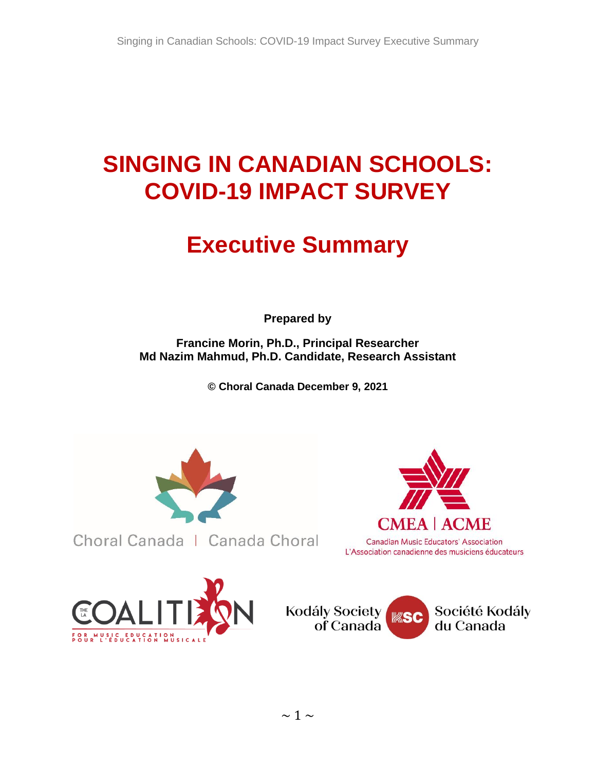# **SINGING IN CANADIAN SCHOOLS: COVID-19 IMPACT SURVEY**

# **Executive Summary**

**Prepared by** 

**Francine Morin, Ph.D., Principal Researcher Md Nazim Mahmud, Ph.D. Candidate, Research Assistant**

**© Choral Canada December 9, 2021**



Choral Canada | Canada Choral





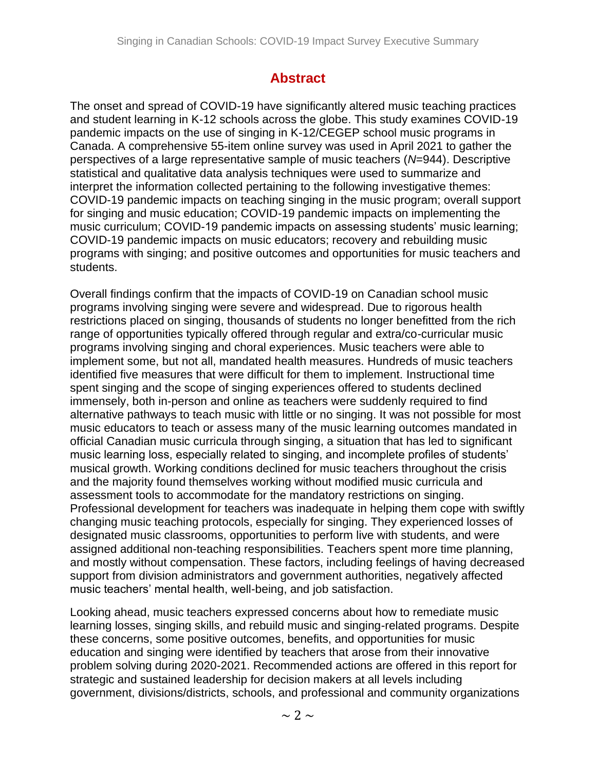# **Abstract**

The onset and spread of COVID-19 have significantly altered music teaching practices and student learning in K-12 schools across the globe. This study examines COVID-19 pandemic impacts on the use of singing in K-12/CEGEP school music programs in Canada. A comprehensive 55-item online survey was used in April 2021 to gather the perspectives of a large representative sample of music teachers (*N*=944). Descriptive statistical and qualitative data analysis techniques were used to summarize and interpret the information collected pertaining to the following investigative themes: COVID-19 pandemic impacts on teaching singing in the music program; overall support for singing and music education; COVID-19 pandemic impacts on implementing the music curriculum; COVID-19 pandemic impacts on assessing students' music learning; COVID-19 pandemic impacts on music educators; recovery and rebuilding music programs with singing; and positive outcomes and opportunities for music teachers and students.

Overall findings confirm that the impacts of COVID-19 on Canadian school music programs involving singing were severe and widespread. Due to rigorous health restrictions placed on singing, thousands of students no longer benefitted from the rich range of opportunities typically offered through regular and extra/co-curricular music programs involving singing and choral experiences. Music teachers were able to implement some, but not all, mandated health measures. Hundreds of music teachers identified five measures that were difficult for them to implement. Instructional time spent singing and the scope of singing experiences offered to students declined immensely, both in-person and online as teachers were suddenly required to find alternative pathways to teach music with little or no singing. It was not possible for most music educators to teach or assess many of the music learning outcomes mandated in official Canadian music curricula through singing, a situation that has led to significant music learning loss, especially related to singing, and incomplete profiles of students' musical growth. Working conditions declined for music teachers throughout the crisis and the majority found themselves working without modified music curricula and assessment tools to accommodate for the mandatory restrictions on singing. Professional development for teachers was inadequate in helping them cope with swiftly changing music teaching protocols, especially for singing. They experienced losses of designated music classrooms, opportunities to perform live with students, and were assigned additional non-teaching responsibilities. Teachers spent more time planning, and mostly without compensation. These factors, including feelings of having decreased support from division administrators and government authorities, negatively affected music teachers' mental health, well-being, and job satisfaction.

Looking ahead, music teachers expressed concerns about how to remediate music learning losses, singing skills, and rebuild music and singing-related programs. Despite these concerns, some positive outcomes, benefits, and opportunities for music education and singing were identified by teachers that arose from their innovative problem solving during 2020-2021. Recommended actions are offered in this report for strategic and sustained leadership for decision makers at all levels including government, divisions/districts, schools, and professional and community organizations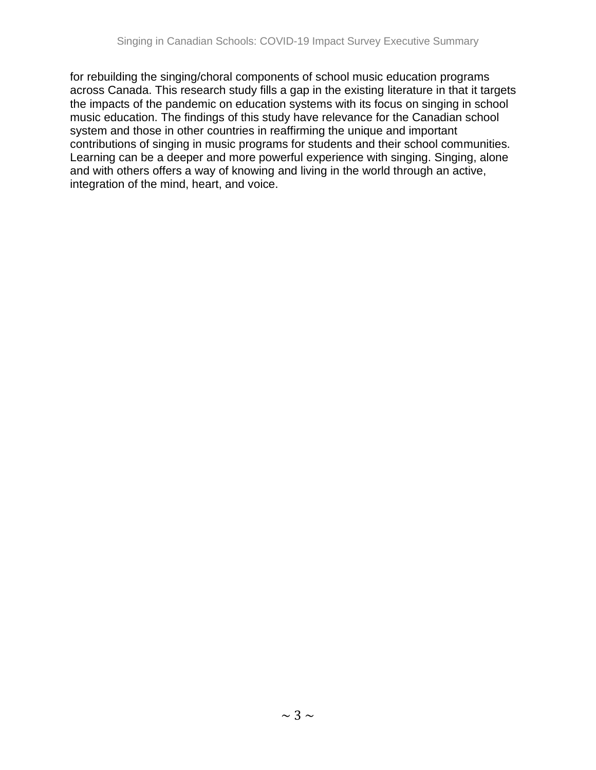for rebuilding the singing/choral components of school music education programs across Canada. This research study fills a gap in the existing literature in that it targets the impacts of the pandemic on education systems with its focus on singing in school music education. The findings of this study have relevance for the Canadian school system and those in other countries in reaffirming the unique and important contributions of singing in music programs for students and their school communities. Learning can be a deeper and more powerful experience with singing. Singing, alone and with others offers a way of knowing and living in the world through an active, integration of the mind, heart, and voice.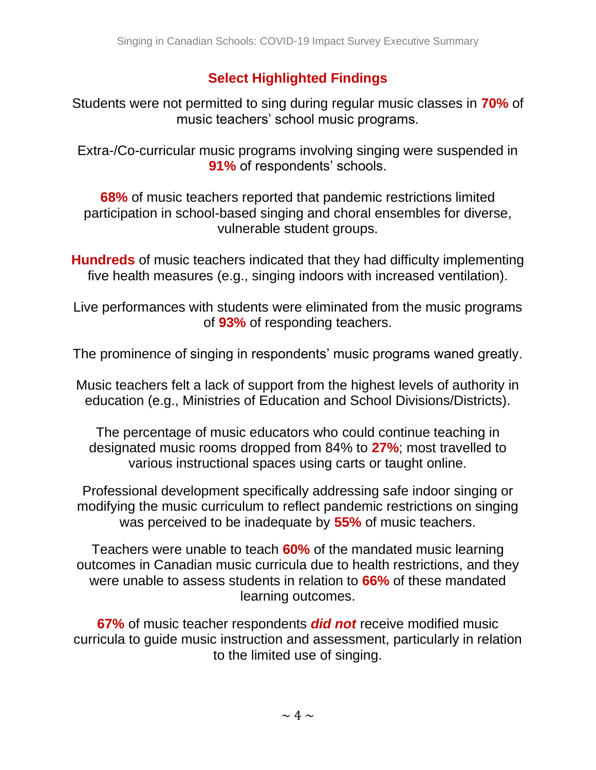# **Select Highlighted Findings**

Students were not permitted to sing during regular music classes in **70%** of music teachers' school music programs.

Extra-/Co-curricular music programs involving singing were suspended in **91%** of respondents' schools.

**68%** of music teachers reported that pandemic restrictions limited participation in school-based singing and choral ensembles for diverse, vulnerable student groups.

**Hundreds** of music teachers indicated that they had difficulty implementing five health measures (e.g., singing indoors with increased ventilation).

Live performances with students were eliminated from the music programs of **93%** of responding teachers.

The prominence of singing in respondents' music programs waned greatly.

Music teachers felt a lack of support from the highest levels of authority in education (e.g., Ministries of Education and School Divisions/Districts).

The percentage of music educators who could continue teaching in designated music rooms dropped from 84% to **27%**; most travelled to various instructional spaces using carts or taught online.

Professional development specifically addressing safe indoor singing or modifying the music curriculum to reflect pandemic restrictions on singing was perceived to be inadequate by **55%** of music teachers.

Teachers were unable to teach **60%** of the mandated music learning outcomes in Canadian music curricula due to health restrictions, and they were unable to assess students in relation to **66%** of these mandated learning outcomes.

**67%** of music teacher respondents *did not* receive modified music curricula to guide music instruction and assessment, particularly in relation to the limited use of singing.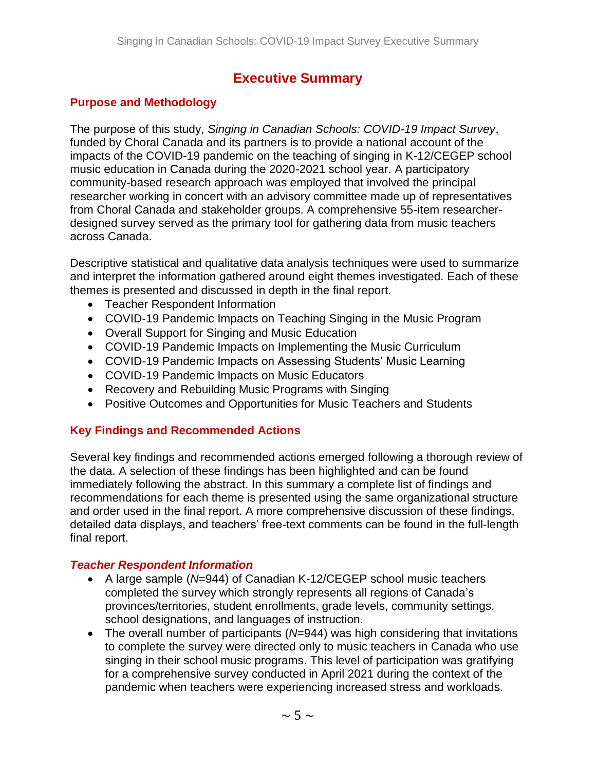# **Executive Summary**

## **Purpose and Methodology**

The purpose of this study, *Singing in Canadian Schools: COVID-19 Impact Survey*, funded by Choral Canada and its partners is to provide a national account of the impacts of the COVID-19 pandemic on the teaching of singing in K-12/CEGEP school music education in Canada during the 2020-2021 school year. A participatory community-based research approach was employed that involved the principal researcher working in concert with an advisory committee made up of representatives from Choral Canada and stakeholder groups. A comprehensive 55-item researcherdesigned survey served as the primary tool for gathering data from music teachers across Canada.

Descriptive statistical and qualitative data analysis techniques were used to summarize and interpret the information gathered around eight themes investigated. Each of these themes is presented and discussed in depth in the final report.

- Teacher Respondent Information
- COVID-19 Pandemic Impacts on Teaching Singing in the Music Program
- Overall Support for Singing and Music Education
- COVID-19 Pandemic Impacts on Implementing the Music Curriculum
- COVID-19 Pandemic Impacts on Assessing Students' Music Learning
- COVID-19 Pandemic Impacts on Music Educators
- Recovery and Rebuilding Music Programs with Singing
- Positive Outcomes and Opportunities for Music Teachers and Students

# **Key Findings and Recommended Actions**

Several key findings and recommended actions emerged following a thorough review of the data. A selection of these findings has been highlighted and can be found immediately following the abstract. In this summary a complete list of findings and recommendations for each theme is presented using the same organizational structure and order used in the final report. A more comprehensive discussion of these findings, detailed data displays, and teachers' free-text comments can be found in the full-length final report.

#### *Teacher Respondent Information*

- A large sample (*N*=944) of Canadian K-12/CEGEP school music teachers completed the survey which strongly represents all regions of Canada's provinces/territories, student enrollments, grade levels, community settings, school designations, and languages of instruction.
- The overall number of participants (*N*=944) was high considering that invitations to complete the survey were directed only to music teachers in Canada who use singing in their school music programs. This level of participation was gratifying for a comprehensive survey conducted in April 2021 during the context of the pandemic when teachers were experiencing increased stress and workloads.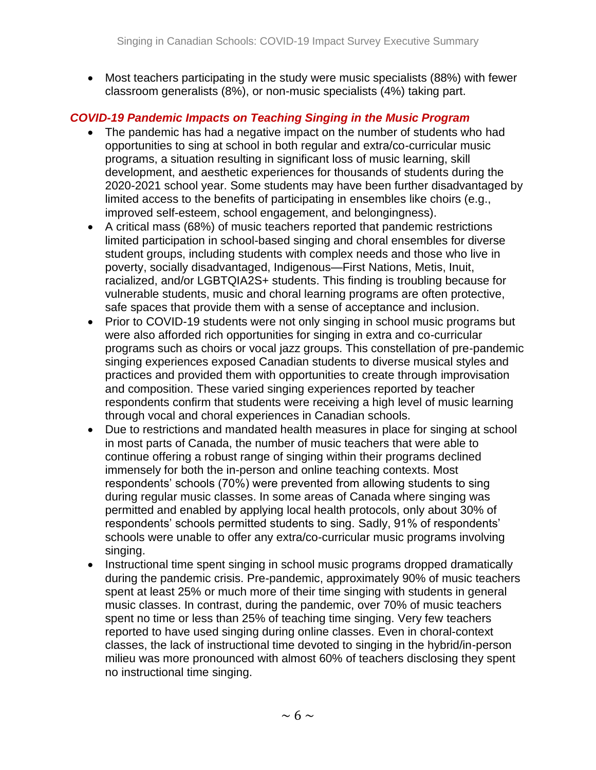• Most teachers participating in the study were music specialists (88%) with fewer classroom generalists (8%), or non-music specialists (4%) taking part.

# *COVID-19 Pandemic Impacts on Teaching Singing in the Music Program*

- The pandemic has had a negative impact on the number of students who had opportunities to sing at school in both regular and extra/co-curricular music programs, a situation resulting in significant loss of music learning, skill development, and aesthetic experiences for thousands of students during the 2020-2021 school year. Some students may have been further disadvantaged by limited access to the benefits of participating in ensembles like choirs (e.g., improved self-esteem, school engagement, and belongingness).
- A critical mass (68%) of music teachers reported that pandemic restrictions limited participation in school-based singing and choral ensembles for diverse student groups, including students with complex needs and those who live in poverty, socially disadvantaged, Indigenous—First Nations, Metis, Inuit, racialized, and/or LGBTQIA2S+ students. This finding is troubling because for vulnerable students, music and choral learning programs are often protective, safe spaces that provide them with a sense of acceptance and inclusion.
- Prior to COVID-19 students were not only singing in school music programs but were also afforded rich opportunities for singing in extra and co-curricular programs such as choirs or vocal jazz groups. This constellation of pre-pandemic singing experiences exposed Canadian students to diverse musical styles and practices and provided them with opportunities to create through improvisation and composition. These varied singing experiences reported by teacher respondents confirm that students were receiving a high level of music learning through vocal and choral experiences in Canadian schools.
- Due to restrictions and mandated health measures in place for singing at school in most parts of Canada, the number of music teachers that were able to continue offering a robust range of singing within their programs declined immensely for both the in-person and online teaching contexts. Most respondents' schools (70%) were prevented from allowing students to sing during regular music classes. In some areas of Canada where singing was permitted and enabled by applying local health protocols, only about 30% of respondents' schools permitted students to sing. Sadly, 91% of respondents' schools were unable to offer any extra/co-curricular music programs involving singing.
- Instructional time spent singing in school music programs dropped dramatically during the pandemic crisis. Pre-pandemic, approximately 90% of music teachers spent at least 25% or much more of their time singing with students in general music classes. In contrast, during the pandemic, over 70% of music teachers spent no time or less than 25% of teaching time singing. Very few teachers reported to have used singing during online classes. Even in choral-context classes, the lack of instructional time devoted to singing in the hybrid/in-person milieu was more pronounced with almost 60% of teachers disclosing they spent no instructional time singing.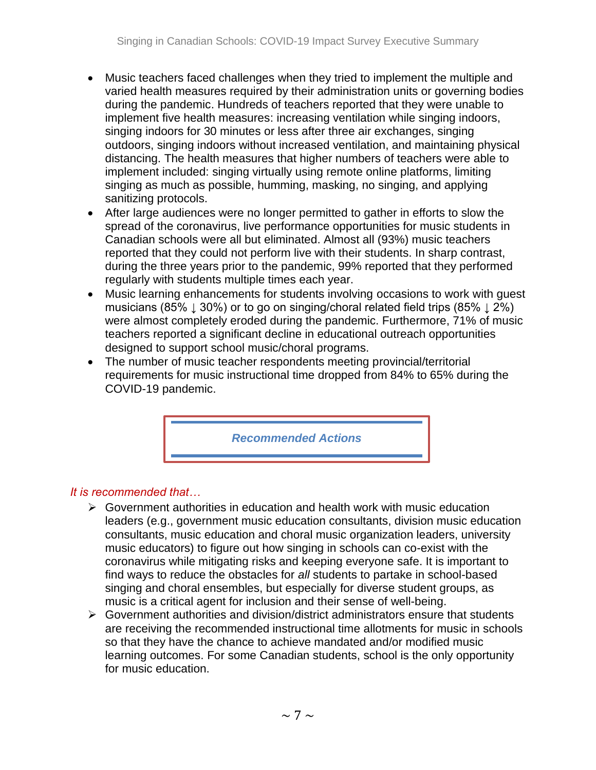- Music teachers faced challenges when they tried to implement the multiple and varied health measures required by their administration units or governing bodies during the pandemic. Hundreds of teachers reported that they were unable to implement five health measures: increasing ventilation while singing indoors, singing indoors for 30 minutes or less after three air exchanges, singing outdoors, singing indoors without increased ventilation, and maintaining physical distancing. The health measures that higher numbers of teachers were able to implement included: singing virtually using remote online platforms, limiting singing as much as possible, humming, masking, no singing, and applying sanitizing protocols.
- After large audiences were no longer permitted to gather in efforts to slow the spread of the coronavirus, live performance opportunities for music students in Canadian schools were all but eliminated. Almost all (93%) music teachers reported that they could not perform live with their students. In sharp contrast, during the three years prior to the pandemic, 99% reported that they performed regularly with students multiple times each year.
- Music learning enhancements for students involving occasions to work with guest musicians (85%  $\downarrow$  30%) or to go on singing/choral related field trips (85%  $\downarrow$  2%) were almost completely eroded during the pandemic. Furthermore, 71% of music teachers reported a significant decline in educational outreach opportunities designed to support school music/choral programs.
- The number of music teacher respondents meeting provincial/territorial requirements for music instructional time dropped from 84% to 65% during the COVID-19 pandemic.

*Recommended Actions*

#### *It is recommended that…*

- ➢ Government authorities in education and health work with music education leaders (e.g., government music education consultants, division music education consultants, music education and choral music organization leaders, university music educators) to figure out how singing in schools can co-exist with the coronavirus while mitigating risks and keeping everyone safe. It is important to find ways to reduce the obstacles for *all* students to partake in school-based singing and choral ensembles, but especially for diverse student groups, as music is a critical agent for inclusion and their sense of well-being.
- ➢ Government authorities and division/district administrators ensure that students are receiving the recommended instructional time allotments for music in schools so that they have the chance to achieve mandated and/or modified music learning outcomes. For some Canadian students, school is the only opportunity for music education.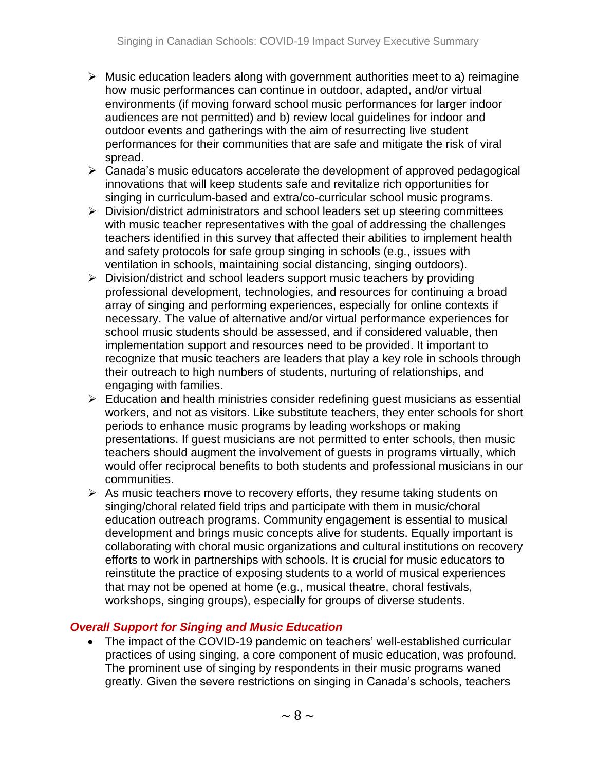- ➢ Music education leaders along with government authorities meet to a) reimagine how music performances can continue in outdoor, adapted, and/or virtual environments (if moving forward school music performances for larger indoor audiences are not permitted) and b) review local guidelines for indoor and outdoor events and gatherings with the aim of resurrecting live student performances for their communities that are safe and mitigate the risk of viral spread.
- ➢ Canada's music educators accelerate the development of approved pedagogical innovations that will keep students safe and revitalize rich opportunities for singing in curriculum-based and extra/co-curricular school music programs.
- ➢ Division/district administrators and school leaders set up steering committees with music teacher representatives with the goal of addressing the challenges teachers identified in this survey that affected their abilities to implement health and safety protocols for safe group singing in schools (e.g., issues with ventilation in schools, maintaining social distancing, singing outdoors).
- ➢ Division/district and school leaders support music teachers by providing professional development, technologies, and resources for continuing a broad array of singing and performing experiences, especially for online contexts if necessary. The value of alternative and/or virtual performance experiences for school music students should be assessed, and if considered valuable, then implementation support and resources need to be provided. It important to recognize that music teachers are leaders that play a key role in schools through their outreach to high numbers of students, nurturing of relationships, and engaging with families.
- ➢ Education and health ministries consider redefining guest musicians as essential workers, and not as visitors. Like substitute teachers, they enter schools for short periods to enhance music programs by leading workshops or making presentations. If guest musicians are not permitted to enter schools, then music teachers should augment the involvement of guests in programs virtually, which would offer reciprocal benefits to both students and professional musicians in our communities.
- ➢ As music teachers move to recovery efforts, they resume taking students on singing/choral related field trips and participate with them in music/choral education outreach programs. Community engagement is essential to musical development and brings music concepts alive for students. Equally important is collaborating with choral music organizations and cultural institutions on recovery efforts to work in partnerships with schools. It is crucial for music educators to reinstitute the practice of exposing students to a world of musical experiences that may not be opened at home (e.g., musical theatre, choral festivals, workshops, singing groups), especially for groups of diverse students.

# *Overall Support for Singing and Music Education*

• The impact of the COVID-19 pandemic on teachers' well-established curricular practices of using singing, a core component of music education, was profound. The prominent use of singing by respondents in their music programs waned greatly. Given the severe restrictions on singing in Canada's schools, teachers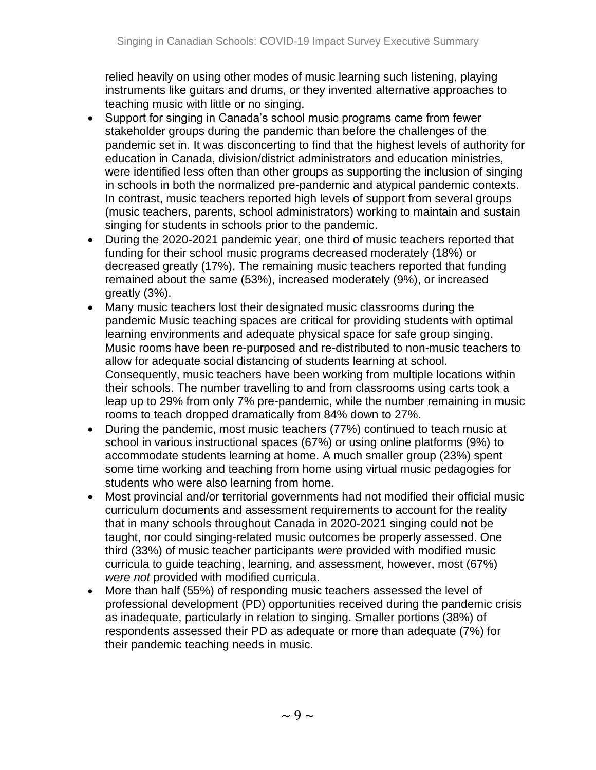relied heavily on using other modes of music learning such listening, playing instruments like guitars and drums, or they invented alternative approaches to teaching music with little or no singing.

- Support for singing in Canada's school music programs came from fewer stakeholder groups during the pandemic than before the challenges of the pandemic set in. It was disconcerting to find that the highest levels of authority for education in Canada, division/district administrators and education ministries, were identified less often than other groups as supporting the inclusion of singing in schools in both the normalized pre-pandemic and atypical pandemic contexts. In contrast, music teachers reported high levels of support from several groups (music teachers, parents, school administrators) working to maintain and sustain singing for students in schools prior to the pandemic.
- During the 2020-2021 pandemic year, one third of music teachers reported that funding for their school music programs decreased moderately (18%) or decreased greatly (17%). The remaining music teachers reported that funding remained about the same (53%), increased moderately (9%), or increased greatly (3%).
- Many music teachers lost their designated music classrooms during the pandemic Music teaching spaces are critical for providing students with optimal learning environments and adequate physical space for safe group singing. Music rooms have been re-purposed and re-distributed to non-music teachers to allow for adequate social distancing of students learning at school. Consequently, music teachers have been working from multiple locations within their schools. The number travelling to and from classrooms using carts took a leap up to 29% from only 7% pre-pandemic, while the number remaining in music rooms to teach dropped dramatically from 84% down to 27%.
- During the pandemic, most music teachers (77%) continued to teach music at school in various instructional spaces (67%) or using online platforms (9%) to accommodate students learning at home. A much smaller group (23%) spent some time working and teaching from home using virtual music pedagogies for students who were also learning from home.
- Most provincial and/or territorial governments had not modified their official music curriculum documents and assessment requirements to account for the reality that in many schools throughout Canada in 2020-2021 singing could not be taught, nor could singing-related music outcomes be properly assessed. One third (33%) of music teacher participants *were* provided with modified music curricula to guide teaching, learning, and assessment, however, most (67%) *were not* provided with modified curricula.
- More than half (55%) of responding music teachers assessed the level of professional development (PD) opportunities received during the pandemic crisis as inadequate, particularly in relation to singing. Smaller portions (38%) of respondents assessed their PD as adequate or more than adequate (7%) for their pandemic teaching needs in music.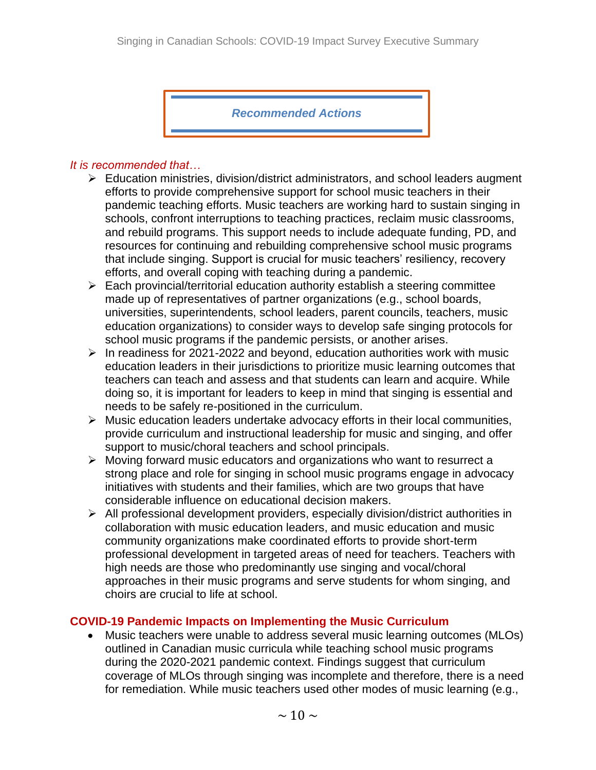*Recommended Actions*

#### *It is recommended that…*

- ➢ Education ministries, division/district administrators, and school leaders augment efforts to provide comprehensive support for school music teachers in their pandemic teaching efforts. Music teachers are working hard to sustain singing in schools, confront interruptions to teaching practices, reclaim music classrooms, and rebuild programs. This support needs to include adequate funding, PD, and resources for continuing and rebuilding comprehensive school music programs that include singing. Support is crucial for music teachers' resiliency, recovery efforts, and overall coping with teaching during a pandemic.
- $\triangleright$  Each provincial/territorial education authority establish a steering committee made up of representatives of partner organizations (e.g., school boards, universities, superintendents, school leaders, parent councils, teachers, music education organizations) to consider ways to develop safe singing protocols for school music programs if the pandemic persists, or another arises.
- $\triangleright$  In readiness for 2021-2022 and beyond, education authorities work with music education leaders in their jurisdictions to prioritize music learning outcomes that teachers can teach and assess and that students can learn and acquire. While doing so, it is important for leaders to keep in mind that singing is essential and needs to be safely re-positioned in the curriculum.
- $\triangleright$  Music education leaders undertake advocacy efforts in their local communities, provide curriculum and instructional leadership for music and singing, and offer support to music/choral teachers and school principals.
- ➢ Moving forward music educators and organizations who want to resurrect a strong place and role for singing in school music programs engage in advocacy initiatives with students and their families, which are two groups that have considerable influence on educational decision makers.
- ➢ All professional development providers, especially division/district authorities in collaboration with music education leaders, and music education and music community organizations make coordinated efforts to provide short-term professional development in targeted areas of need for teachers. Teachers with high needs are those who predominantly use singing and vocal/choral approaches in their music programs and serve students for whom singing, and choirs are crucial to life at school.

# **COVID-19 Pandemic Impacts on Implementing the Music Curriculum**

• Music teachers were unable to address several music learning outcomes (MLOs) outlined in Canadian music curricula while teaching school music programs during the 2020-2021 pandemic context. Findings suggest that curriculum coverage of MLOs through singing was incomplete and therefore, there is a need for remediation. While music teachers used other modes of music learning (e.g.,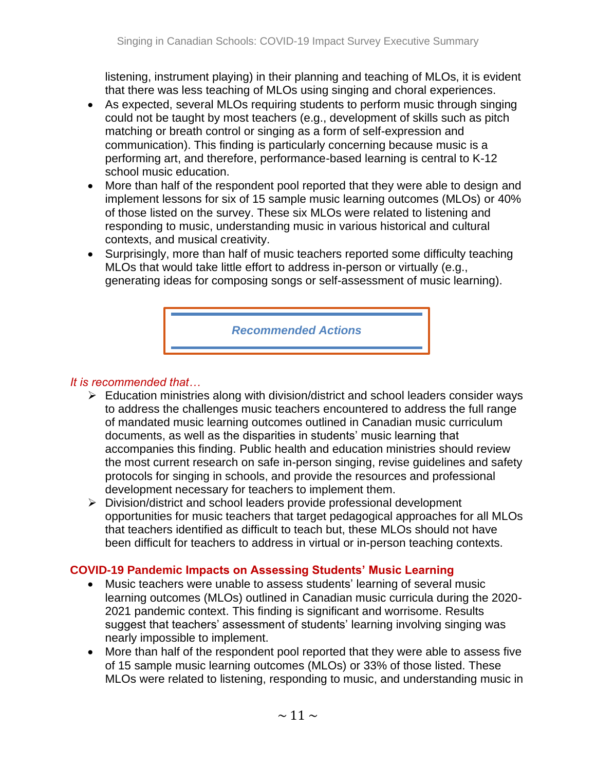listening, instrument playing) in their planning and teaching of MLOs, it is evident that there was less teaching of MLOs using singing and choral experiences.

- As expected, several MLOs requiring students to perform music through singing could not be taught by most teachers (e.g., development of skills such as pitch matching or breath control or singing as a form of self-expression and communication). This finding is particularly concerning because music is a performing art, and therefore, performance-based learning is central to K-12 school music education.
- More than half of the respondent pool reported that they were able to design and implement lessons for six of 15 sample music learning outcomes (MLOs) or 40% of those listed on the survey. These six MLOs were related to listening and responding to music, understanding music in various historical and cultural contexts, and musical creativity.
- Surprisingly, more than half of music teachers reported some difficulty teaching MLOs that would take little effort to address in-person or virtually (e.g., generating ideas for composing songs or self-assessment of music learning).

*Recommended Actions*

#### *It is recommended that…*

- ➢ Education ministries along with division/district and school leaders consider ways to address the challenges music teachers encountered to address the full range of mandated music learning outcomes outlined in Canadian music curriculum documents, as well as the disparities in students' music learning that accompanies this finding. Public health and education ministries should review the most current research on safe in-person singing, revise guidelines and safety protocols for singing in schools, and provide the resources and professional development necessary for teachers to implement them.
- ➢ Division/district and school leaders provide professional development opportunities for music teachers that target pedagogical approaches for all MLOs that teachers identified as difficult to teach but, these MLOs should not have been difficult for teachers to address in virtual or in-person teaching contexts.

# **COVID-19 Pandemic Impacts on Assessing Students' Music Learning**

- Music teachers were unable to assess students' learning of several music learning outcomes (MLOs) outlined in Canadian music curricula during the 2020- 2021 pandemic context. This finding is significant and worrisome. Results suggest that teachers' assessment of students' learning involving singing was nearly impossible to implement.
- More than half of the respondent pool reported that they were able to assess five of 15 sample music learning outcomes (MLOs) or 33% of those listed. These MLOs were related to listening, responding to music, and understanding music in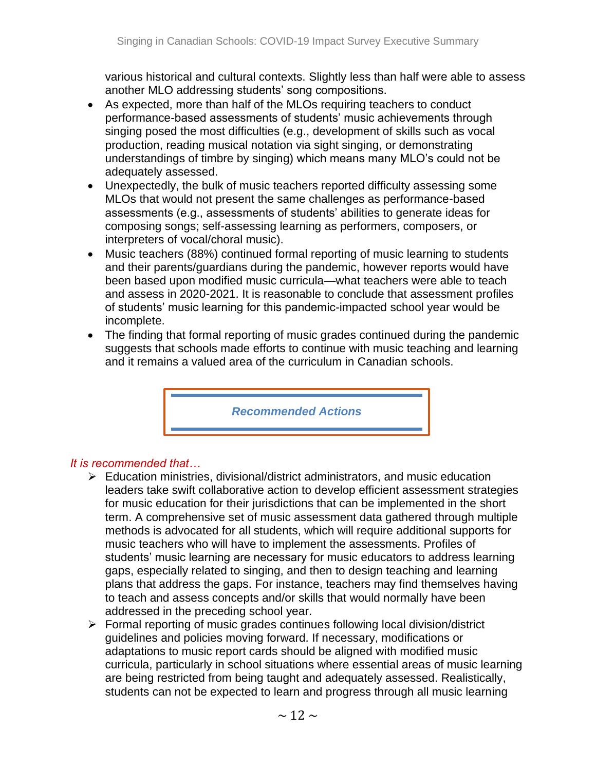various historical and cultural contexts. Slightly less than half were able to assess another MLO addressing students' song compositions.

- As expected, more than half of the MLOs requiring teachers to conduct performance-based assessments of students' music achievements through singing posed the most difficulties (e.g., development of skills such as vocal production, reading musical notation via sight singing, or demonstrating understandings of timbre by singing) which means many MLO's could not be adequately assessed.
- Unexpectedly, the bulk of music teachers reported difficulty assessing some MLOs that would not present the same challenges as performance-based assessments (e.g., assessments of students' abilities to generate ideas for composing songs; self-assessing learning as performers, composers, or interpreters of vocal/choral music).
- Music teachers (88%) continued formal reporting of music learning to students and their parents/guardians during the pandemic, however reports would have been based upon modified music curricula—what teachers were able to teach and assess in 2020-2021. It is reasonable to conclude that assessment profiles of students' music learning for this pandemic-impacted school year would be incomplete.
- The finding that formal reporting of music grades continued during the pandemic suggests that schools made efforts to continue with music teaching and learning and it remains a valued area of the curriculum in Canadian schools.

*Recommended Actions*

#### *It is recommended that…*

- ➢ Education ministries, divisional/district administrators, and music education leaders take swift collaborative action to develop efficient assessment strategies for music education for their jurisdictions that can be implemented in the short term. A comprehensive set of music assessment data gathered through multiple methods is advocated for all students, which will require additional supports for music teachers who will have to implement the assessments. Profiles of students' music learning are necessary for music educators to address learning gaps, especially related to singing, and then to design teaching and learning plans that address the gaps. For instance, teachers may find themselves having to teach and assess concepts and/or skills that would normally have been addressed in the preceding school year.
- ➢ Formal reporting of music grades continues following local division/district guidelines and policies moving forward. If necessary, modifications or adaptations to music report cards should be aligned with modified music curricula, particularly in school situations where essential areas of music learning are being restricted from being taught and adequately assessed. Realistically, students can not be expected to learn and progress through all music learning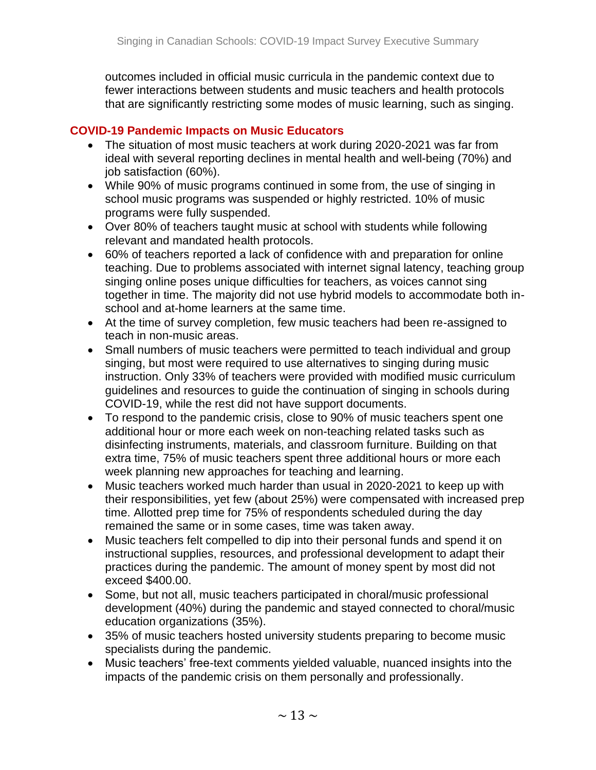outcomes included in official music curricula in the pandemic context due to fewer interactions between students and music teachers and health protocols that are significantly restricting some modes of music learning, such as singing.

## **COVID-19 Pandemic Impacts on Music Educators**

- The situation of most music teachers at work during 2020-2021 was far from ideal with several reporting declines in mental health and well-being (70%) and job satisfaction (60%).
- While 90% of music programs continued in some from, the use of singing in school music programs was suspended or highly restricted. 10% of music programs were fully suspended.
- Over 80% of teachers taught music at school with students while following relevant and mandated health protocols.
- 60% of teachers reported a lack of confidence with and preparation for online teaching. Due to problems associated with internet signal latency, teaching group singing online poses unique difficulties for teachers, as voices cannot sing together in time. The majority did not use hybrid models to accommodate both inschool and at-home learners at the same time.
- At the time of survey completion, few music teachers had been re-assigned to teach in non-music areas.
- Small numbers of music teachers were permitted to teach individual and group singing, but most were required to use alternatives to singing during music instruction. Only 33% of teachers were provided with modified music curriculum guidelines and resources to guide the continuation of singing in schools during COVID-19, while the rest did not have support documents.
- To respond to the pandemic crisis, close to 90% of music teachers spent one additional hour or more each week on non-teaching related tasks such as disinfecting instruments, materials, and classroom furniture. Building on that extra time, 75% of music teachers spent three additional hours or more each week planning new approaches for teaching and learning.
- Music teachers worked much harder than usual in 2020-2021 to keep up with their responsibilities, yet few (about 25%) were compensated with increased prep time. Allotted prep time for 75% of respondents scheduled during the day remained the same or in some cases, time was taken away.
- Music teachers felt compelled to dip into their personal funds and spend it on instructional supplies, resources, and professional development to adapt their practices during the pandemic. The amount of money spent by most did not exceed \$400.00.
- Some, but not all, music teachers participated in choral/music professional development (40%) during the pandemic and stayed connected to choral/music education organizations (35%).
- 35% of music teachers hosted university students preparing to become music specialists during the pandemic.
- Music teachers' free-text comments yielded valuable, nuanced insights into the impacts of the pandemic crisis on them personally and professionally.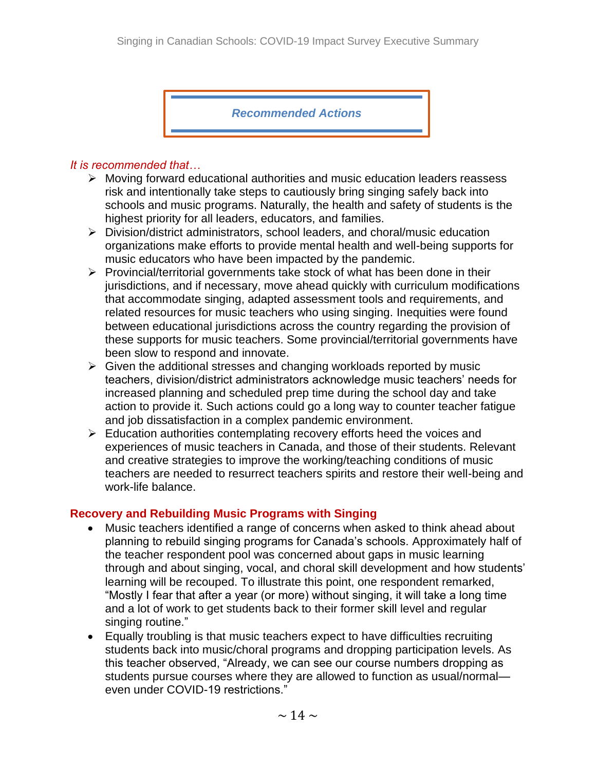*Recommended Actions*

#### *It is recommended that…*

- ➢ Moving forward educational authorities and music education leaders reassess risk and intentionally take steps to cautiously bring singing safely back into schools and music programs. Naturally, the health and safety of students is the highest priority for all leaders, educators, and families.
- ➢ Division/district administrators, school leaders, and choral/music education organizations make efforts to provide mental health and well-being supports for music educators who have been impacted by the pandemic.
- ➢ Provincial/territorial governments take stock of what has been done in their jurisdictions, and if necessary, move ahead quickly with curriculum modifications that accommodate singing, adapted assessment tools and requirements, and related resources for music teachers who using singing. Inequities were found between educational jurisdictions across the country regarding the provision of these supports for music teachers. Some provincial/territorial governments have been slow to respond and innovate.
- $\triangleright$  Given the additional stresses and changing workloads reported by music teachers, division/district administrators acknowledge music teachers' needs for increased planning and scheduled prep time during the school day and take action to provide it. Such actions could go a long way to counter teacher fatigue and job dissatisfaction in a complex pandemic environment.
- ➢ Education authorities contemplating recovery efforts heed the voices and experiences of music teachers in Canada, and those of their students. Relevant and creative strategies to improve the working/teaching conditions of music teachers are needed to resurrect teachers spirits and restore their well-being and work-life balance.

#### **Recovery and Rebuilding Music Programs with Singing**

- Music teachers identified a range of concerns when asked to think ahead about planning to rebuild singing programs for Canada's schools. Approximately half of the teacher respondent pool was concerned about gaps in music learning through and about singing, vocal, and choral skill development and how students' learning will be recouped. To illustrate this point, one respondent remarked, "Mostly I fear that after a year (or more) without singing, it will take a long time and a lot of work to get students back to their former skill level and regular singing routine."
- Equally troubling is that music teachers expect to have difficulties recruiting students back into music/choral programs and dropping participation levels. As this teacher observed, "Already, we can see our course numbers dropping as students pursue courses where they are allowed to function as usual/normal even under COVID-19 restrictions."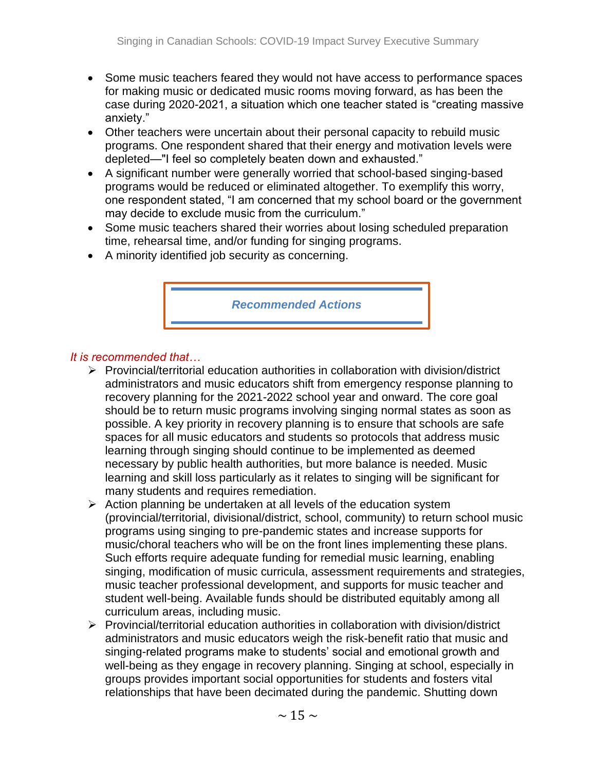- Some music teachers feared they would not have access to performance spaces for making music or dedicated music rooms moving forward, as has been the case during 2020-2021, a situation which one teacher stated is "creating massive anxiety."
- Other teachers were uncertain about their personal capacity to rebuild music programs. One respondent shared that their energy and motivation levels were depleted—"I feel so completely beaten down and exhausted."
- A significant number were generally worried that school-based singing-based programs would be reduced or eliminated altogether. To exemplify this worry, one respondent stated, "I am concerned that my school board or the government may decide to exclude music from the curriculum."
- Some music teachers shared their worries about losing scheduled preparation time, rehearsal time, and/or funding for singing programs.
- A minority identified job security as concerning.



### *It is recommended that…*

- ➢ Provincial/territorial education authorities in collaboration with division/district administrators and music educators shift from emergency response planning to recovery planning for the 2021-2022 school year and onward. The core goal should be to return music programs involving singing normal states as soon as possible. A key priority in recovery planning is to ensure that schools are safe spaces for all music educators and students so protocols that address music learning through singing should continue to be implemented as deemed necessary by public health authorities, but more balance is needed. Music learning and skill loss particularly as it relates to singing will be significant for many students and requires remediation.
- ➢ Action planning be undertaken at all levels of the education system (provincial/territorial, divisional/district, school, community) to return school music programs using singing to pre-pandemic states and increase supports for music/choral teachers who will be on the front lines implementing these plans. Such efforts require adequate funding for remedial music learning, enabling singing, modification of music curricula, assessment requirements and strategies, music teacher professional development, and supports for music teacher and student well-being. Available funds should be distributed equitably among all curriculum areas, including music.
- ➢ Provincial/territorial education authorities in collaboration with division/district administrators and music educators weigh the risk-benefit ratio that music and singing-related programs make to students' social and emotional growth and well-being as they engage in recovery planning. Singing at school, especially in groups provides important social opportunities for students and fosters vital relationships that have been decimated during the pandemic. Shutting down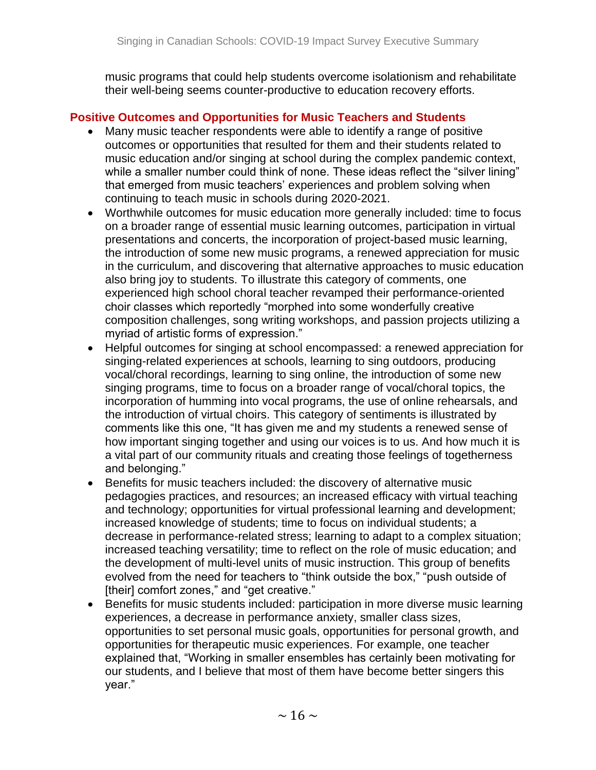music programs that could help students overcome isolationism and rehabilitate their well-being seems counter-productive to education recovery efforts.

## **Positive Outcomes and Opportunities for Music Teachers and Students**

- Many music teacher respondents were able to identify a range of positive outcomes or opportunities that resulted for them and their students related to music education and/or singing at school during the complex pandemic context, while a smaller number could think of none. These ideas reflect the "silver lining" that emerged from music teachers' experiences and problem solving when continuing to teach music in schools during 2020-2021.
- Worthwhile outcomes for music education more generally included: time to focus on a broader range of essential music learning outcomes, participation in virtual presentations and concerts, the incorporation of project-based music learning, the introduction of some new music programs, a renewed appreciation for music in the curriculum, and discovering that alternative approaches to music education also bring joy to students. To illustrate this category of comments, one experienced high school choral teacher revamped their performance-oriented choir classes which reportedly "morphed into some wonderfully creative composition challenges, song writing workshops, and passion projects utilizing a myriad of artistic forms of expression."
- Helpful outcomes for singing at school encompassed: a renewed appreciation for singing-related experiences at schools, learning to sing outdoors, producing vocal/choral recordings, learning to sing online, the introduction of some new singing programs, time to focus on a broader range of vocal/choral topics, the incorporation of humming into vocal programs, the use of online rehearsals, and the introduction of virtual choirs. This category of sentiments is illustrated by comments like this one, "It has given me and my students a renewed sense of how important singing together and using our voices is to us. And how much it is a vital part of our community rituals and creating those feelings of togetherness and belonging."
- Benefits for music teachers included: the discovery of alternative music pedagogies practices, and resources; an increased efficacy with virtual teaching and technology; opportunities for virtual professional learning and development; increased knowledge of students; time to focus on individual students; a decrease in performance-related stress; learning to adapt to a complex situation; increased teaching versatility; time to reflect on the role of music education; and the development of multi-level units of music instruction. This group of benefits evolved from the need for teachers to "think outside the box," "push outside of [their] comfort zones," and "get creative."
- Benefits for music students included: participation in more diverse music learning experiences, a decrease in performance anxiety, smaller class sizes, opportunities to set personal music goals, opportunities for personal growth, and opportunities for therapeutic music experiences. For example, one teacher explained that, "Working in smaller ensembles has certainly been motivating for our students, and I believe that most of them have become better singers this year."